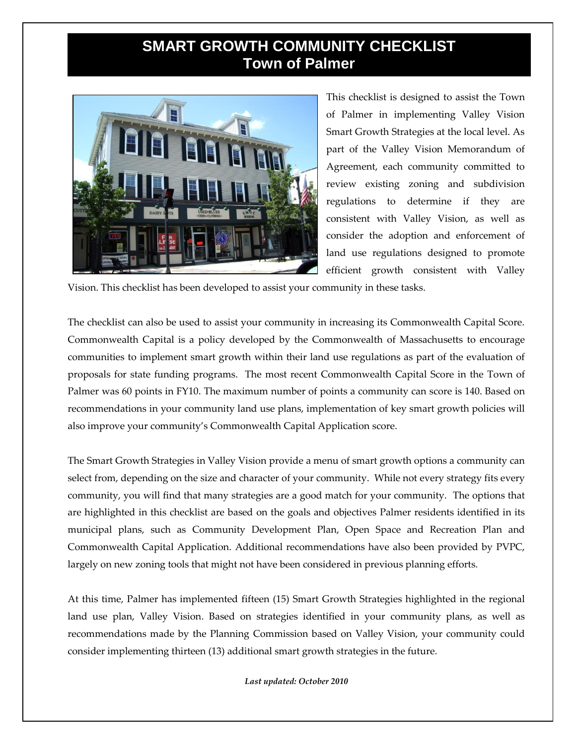## **SMART GROWTH COMMUNITY CHECKLIST Town of Palmer**



This checklist is designed to assist the Town of Palmer in implementing Valley Vision Smart Growth Strategies at the local level. As part of the Valley Vision Memorandum of Agreement, each community committed to review existing zoning and subdivision regulations to determine if they are consistent with Valley Vision, as well as consider the adoption and enforcement of land use regulations designed to promote efficient growth consistent with Valley

Vision. This checklist has been developed to assist your community in these tasks.

The checklist can also be used to assist your community in increasing its Commonwealth Capital Score. Commonwealth Capital is a policy developed by the Commonwealth of Massachusetts to encourage communities to implement smart growth within their land use regulations as part of the evaluation of proposals for state funding programs. The most recent Commonwealth Capital Score in the Town of Palmer was 60 points in FY10. The maximum number of points a community can score is 140. Based on recommendations in your community land use plans, implementation of key smart growth policies will also improve your community's Commonwealth Capital Application score.

The Smart Growth Strategies in Valley Vision provide a menu of smart growth options a community can select from, depending on the size and character of your community. While not every strategy fits every community, you will find that many strategies are a good match for your community. The options that are highlighted in this checklist are based on the goals and objectives Palmer residents identified in its municipal plans, such as Community Development Plan, Open Space and Recreation Plan and Commonwealth Capital Application. Additional recommendations have also been provided by PVPC, largely on new zoning tools that might not have been considered in previous planning efforts.

At this time, Palmer has implemented fifteen (15) Smart Growth Strategies highlighted in the regional land use plan, Valley Vision. Based on strategies identified in your community plans, as well as recommendations made by the Planning Commission based on Valley Vision, your community could consider implementing thirteen (13) additional smart growth strategies in the future.

*Last updated: October 2010*